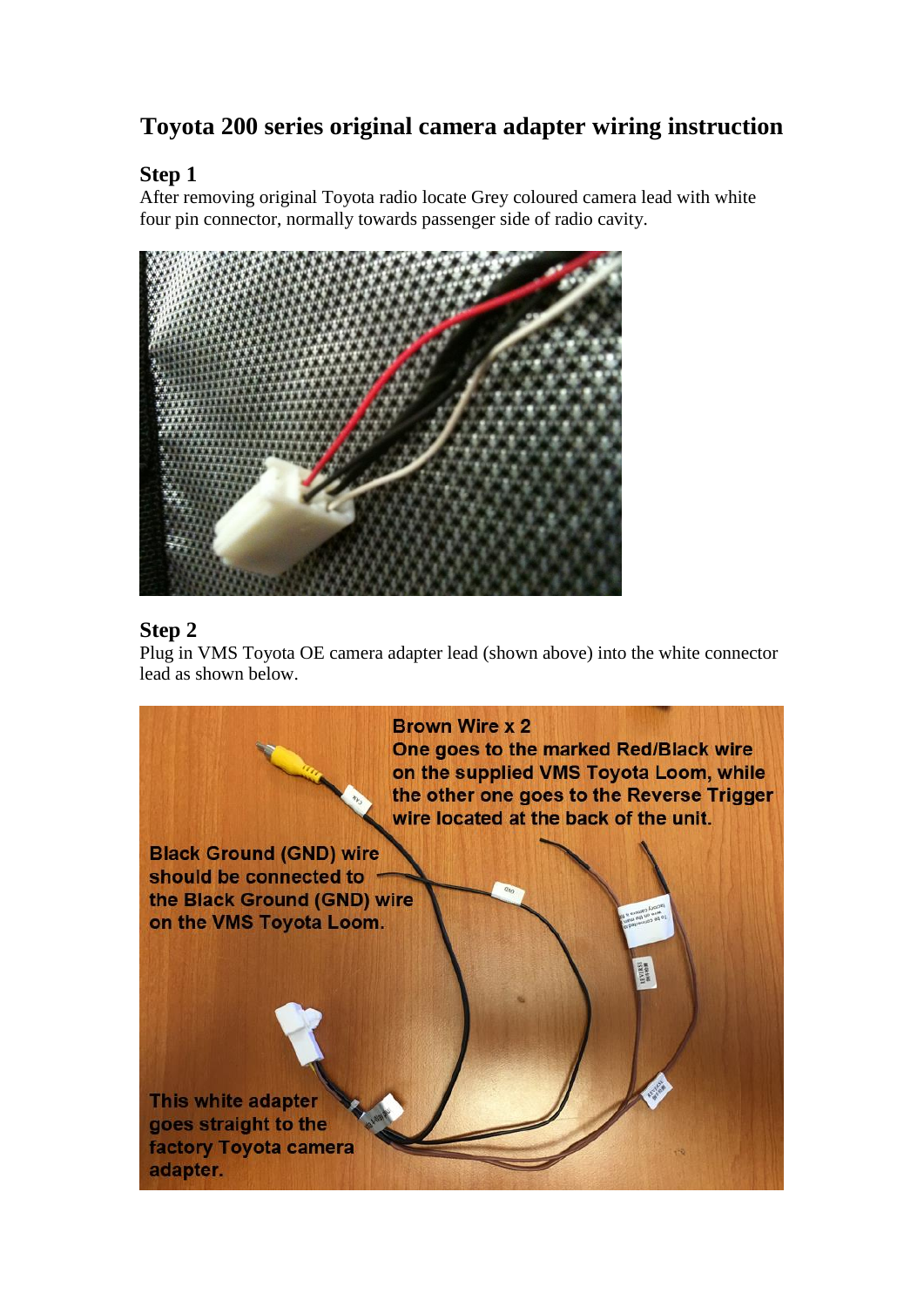# **Toyota 200 series original camera adapter wiring instruction**

## **Step 1**

After removing original Toyota radio locate Grey coloured camera lead with white four pin connector, normally towards passenger side of radio cavity.



# **Step 2**

Plug in VMS Toyota OE camera adapter lead (shown above) into the white connector lead as shown below.